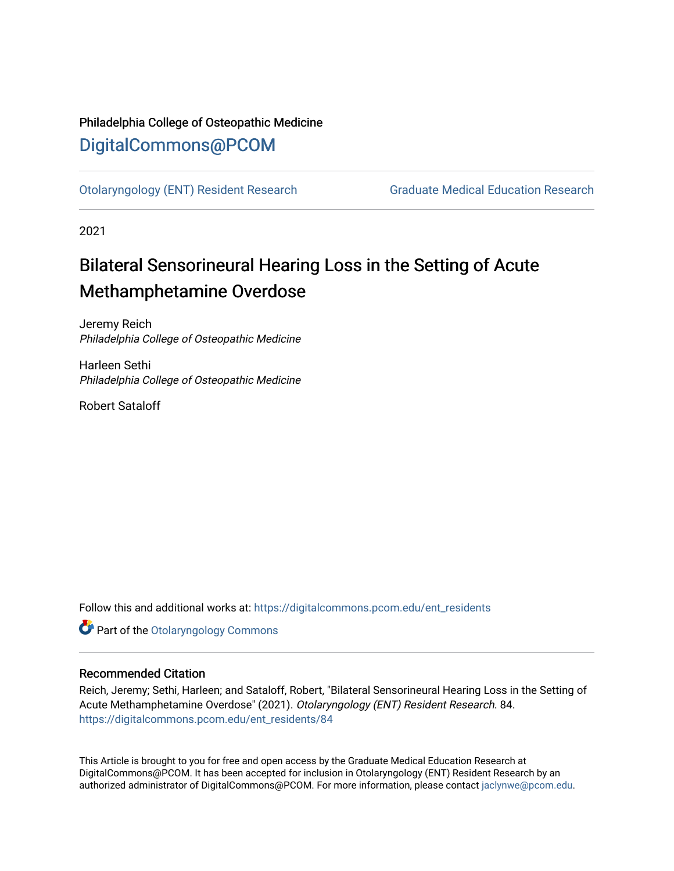## Philadelphia College of Osteopathic Medicine [DigitalCommons@PCOM](https://digitalcommons.pcom.edu/)

[Otolaryngology \(ENT\) Resident Research](https://digitalcommons.pcom.edu/ent_residents) [Graduate Medical Education Research](https://digitalcommons.pcom.edu/graduate_medical_education_research) 

2021

# Bilateral Sensorineural Hearing Loss in the Setting of Acute Methamphetamine Overdose

Jeremy Reich Philadelphia College of Osteopathic Medicine

Harleen Sethi Philadelphia College of Osteopathic Medicine

Robert Sataloff

Follow this and additional works at: [https://digitalcommons.pcom.edu/ent\\_residents](https://digitalcommons.pcom.edu/ent_residents?utm_source=digitalcommons.pcom.edu%2Fent_residents%2F84&utm_medium=PDF&utm_campaign=PDFCoverPages)

**Part of the Otolaryngology Commons** 

## Recommended Citation

Reich, Jeremy; Sethi, Harleen; and Sataloff, Robert, "Bilateral Sensorineural Hearing Loss in the Setting of Acute Methamphetamine Overdose" (2021). Otolaryngology (ENT) Resident Research. 84. [https://digitalcommons.pcom.edu/ent\\_residents/84](https://digitalcommons.pcom.edu/ent_residents/84?utm_source=digitalcommons.pcom.edu%2Fent_residents%2F84&utm_medium=PDF&utm_campaign=PDFCoverPages) 

This Article is brought to you for free and open access by the Graduate Medical Education Research at DigitalCommons@PCOM. It has been accepted for inclusion in Otolaryngology (ENT) Resident Research by an authorized administrator of DigitalCommons@PCOM. For more information, please contact [jaclynwe@pcom.edu](mailto:jaclynwe@pcom.edu).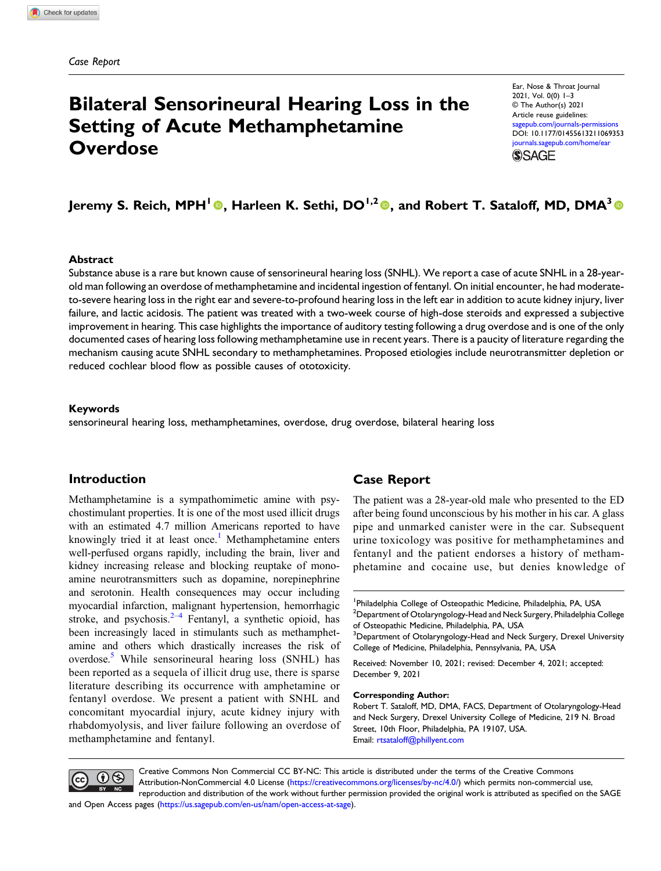# Bilateral Sensorineural Hearing Loss in the Setting of Acute Methamphetamine **Overdose**

Ear, Nose & Throat Journal 2021, Vol. 0(0) 1–3 © The Author(s) 2021 Article reuse guidelines: agepub.com/journals-permissions DOI: [10.1177/01455613211069353](https://doi.org/10.1177/01455613211069353) [journals.sagepub.com/home/ear](https://journals.sagepub.com/home/ear) **SSAGE** 

## Jeremy S. Reich, MPH<sup>1</sup><sup>®</sup>, Harleen K. Sethi, DO<sup>1,2</sup><sup>®</sup>, and Robert T. Sataloff, MD, DMA<sup>3</sup><sup>®</sup>

#### Abstract

Substance abuse is a rare but known cause of sensorineural hearing loss (SNHL). We report a case of acute SNHL in a 28-yearold man following an overdose of methamphetamine and incidental ingestion of fentanyl. On initial encounter, he had moderateto-severe hearing loss in the right ear and severe-to-profound hearing loss in the left ear in addition to acute kidney injury, liver failure, and lactic acidosis. The patient was treated with a two-week course of high-dose steroids and expressed a subjective improvement in hearing. This case highlights the importance of auditory testing following a drug overdose and is one of the only documented cases of hearing loss following methamphetamine use in recent years. There is a paucity of literature regarding the mechanism causing acute SNHL secondary to methamphetamines. Proposed etiologies include neurotransmitter depletion or reduced cochlear blood flow as possible causes of ototoxicity.

#### Keywords

sensorineural hearing loss, methamphetamines, overdose, drug overdose, bilateral hearing loss

## Introduction

Methamphetamine is a sympathomimetic amine with psychostimulant properties. It is one of the most used illicit drugs with an estimated 4.7 million Americans reported to have knowingly tried it at least once.<sup>[1](#page-3-0)</sup> Methamphetamine enters well-perfused organs rapidly, including the brain, liver and kidney increasing release and blocking reuptake of monoamine neurotransmitters such as dopamine, norepinephrine and serotonin. Health consequences may occur including myocardial infarction, malignant hypertension, hemorrhagic stroke, and psychosis. $2-4$  $2-4$  $2-4$  Fentanyl, a synthetic opioid, has been increasingly laced in stimulants such as methamphetamine and others which drastically increases the risk of overdose.<sup>5</sup> While sensorineural hearing loss (SNHL) has been reported as a sequela of illicit drug use, there is sparse literature describing its occurrence with amphetamine or fentanyl overdose. We present a patient with SNHL and concomitant myocardial injury, acute kidney injury with rhabdomyolysis, and liver failure following an overdose of methamphetamine and fentanyl.

## Case Report

The patient was a 28-year-old male who presented to the ED after being found unconscious by his mother in his car. A glass pipe and unmarked canister were in the car. Subsequent urine toxicology was positive for methamphetamines and fentanyl and the patient endorses a history of methamphetamine and cocaine use, but denies knowledge of

<sup>1</sup> Philadelphia College of Osteopathic Medicine, Philadelphia, PA, USA  $^2$ Department of Otolaryngology-Head and Neck Surgery, Philadelphia College of Osteopathic Medicine, Philadelphia, PA, USA

 $^3$ Department of Otolaryngology-Head and Neck Surgery, Drexel University College of Medicine, Philadelphia, Pennsylvania, PA, USA

Received: November 10, 2021; revised: December 4, 2021; accepted: December 9, 2021

#### Corresponding Author:

Robert T. Sataloff, MD, DMA, FACS, Department of Otolaryngology-Head and Neck Surgery, Drexel University College of Medicine, 219 N. Broad Street, 10th Floor, Philadelphia, PA 19107, USA. Email: [rtsataloff@phillyent.com](mailto:rtsataloff@phillyent.com)



Creative Commons Non Commercial CC BY-NC: This article is distributed under the terms of the Creative Commons Attribution-NonCommercial 4.0 License ([https://creativecommons.org/licenses/by-nc/4.0/\)](https://creativecommons.org/licenses/by-nc/4.0/) which permits non-commercial use, reproduction and distribution of the work without further permission provided the original work is attributed as specified on the SAGE

and Open Access pages (<https://us.sagepub.com/en-us/nam/open-access-at-sage>).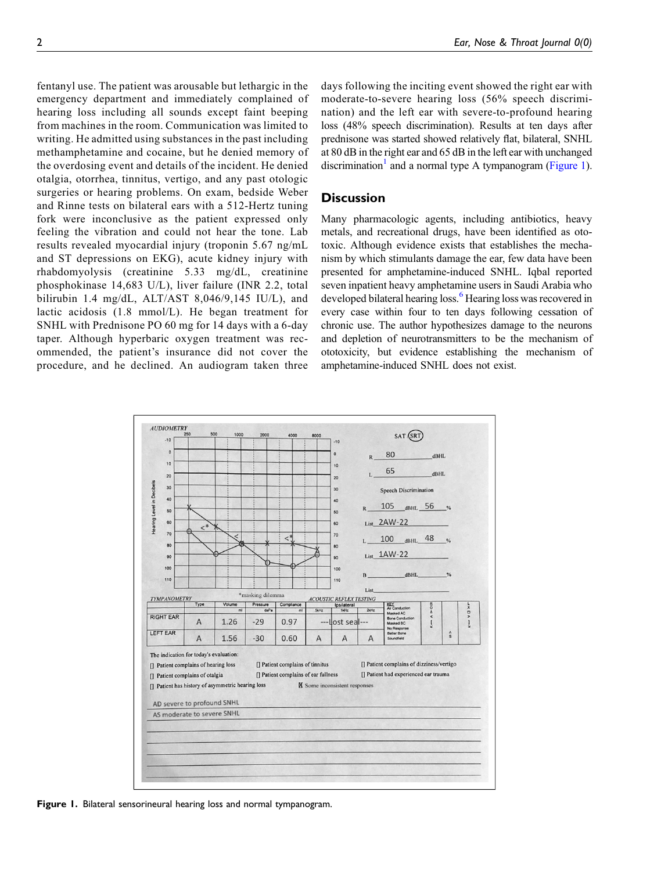fentanyl use. The patient was arousable but lethargic in the emergency department and immediately complained of hearing loss including all sounds except faint beeping from machines in the room. Communication was limited to writing. He admitted using substances in the past including methamphetamine and cocaine, but he denied memory of the overdosing event and details of the incident. He denied otalgia, otorrhea, tinnitus, vertigo, and any past otologic surgeries or hearing problems. On exam, bedside Weber and Rinne tests on bilateral ears with a 512-Hertz tuning fork were inconclusive as the patient expressed only feeling the vibration and could not hear the tone. Lab results revealed myocardial injury (troponin 5.67 ng/mL and ST depressions on EKG), acute kidney injury with rhabdomyolysis (creatinine 5.33 mg/dL, creatinine phosphokinase 14,683 U/L), liver failure (INR 2.2, total bilirubin 1.4 mg/dL,  $ALT/AST$  8,046/9,145 IU/L), and lactic acidosis (1.8 mmol/L). He began treatment for SNHL with Prednisone PO 60 mg for 14 days with a 6-day taper. Although hyperbaric oxygen treatment was recommended, the patient's insurance did not cover the procedure, and he declined. An audiogram taken three

days following the inciting event showed the right ear with moderate-to-severe hearing loss (56% speech discrimination) and the left ear with severe-to-profound hearing loss (48% speech discrimination). Results at ten days after prednisone was started showed relatively flat, bilateral, SNHL at 80 dB in the right ear and 65 dB in the left ear with unchanged discrimination<sup>1</sup> and a normal type A tympanogram ([Figure 1\)](#page-2-0).

## **Discussion**

Many pharmacologic agents, including antibiotics, heavy metals, and recreational drugs, have been identified as ototoxic. Although evidence exists that establishes the mechanism by which stimulants damage the ear, few data have been presented for amphetamine-induced SNHL. Iqbal reported seven inpatient heavy amphetamine users in Saudi Arabia who developed bilateral hearing loss.<sup>[6](#page-3-4)</sup> Hearing loss was recovered in every case within four to ten days following cessation of chronic use. The author hypothesizes damage to the neurons and depletion of neurotransmitters to be the mechanism of ototoxicity, but evidence establishing the mechanism of amphetamine-induced SNHL does not exist.



<span id="page-2-0"></span>Figure 1. Bilateral sensorineural hearing loss and normal tympanogram.